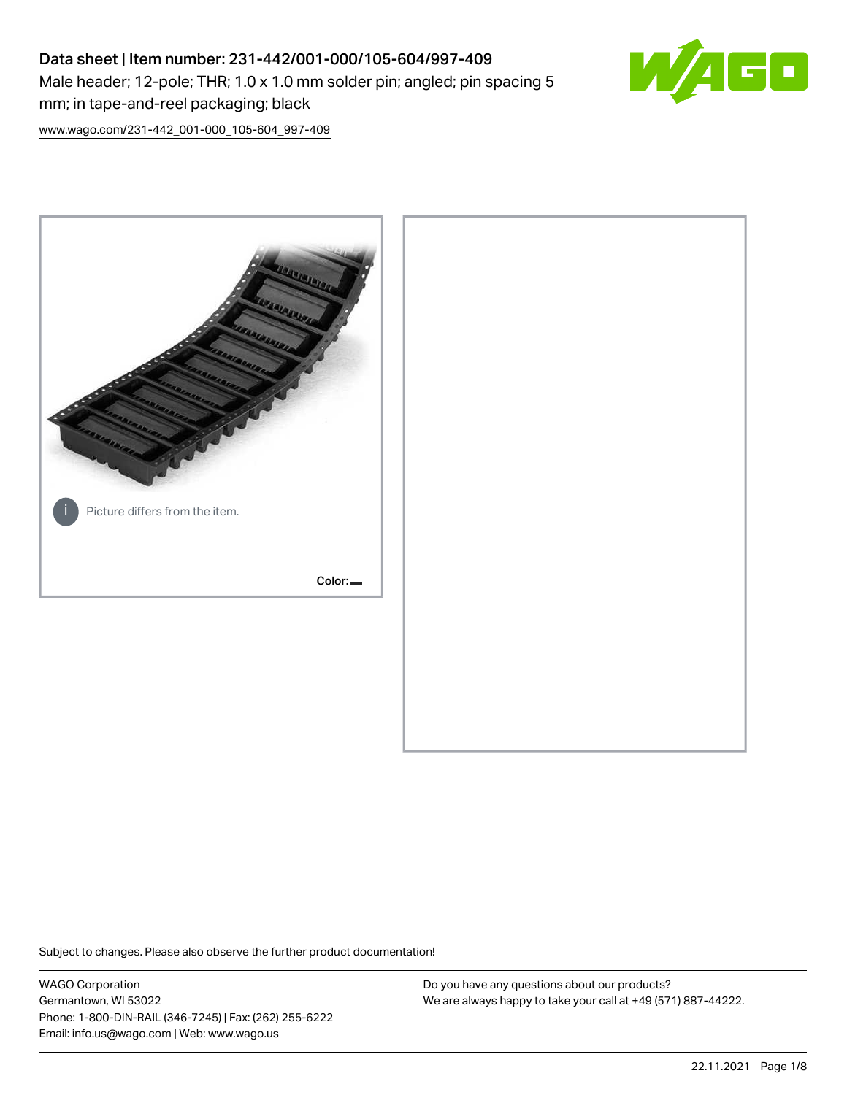# Data sheet | Item number: 231-442/001-000/105-604/997-409 Male header; 12-pole; THR; 1.0 x 1.0 mm solder pin; angled; pin spacing 5 mm; in tape-and-reel packaging; black



[www.wago.com/231-442\\_001-000\\_105-604\\_997-409](http://www.wago.com/231-442_001-000_105-604_997-409)



Subject to changes. Please also observe the further product documentation!

WAGO Corporation Germantown, WI 53022 Phone: 1-800-DIN-RAIL (346-7245) | Fax: (262) 255-6222 Email: info.us@wago.com | Web: www.wago.us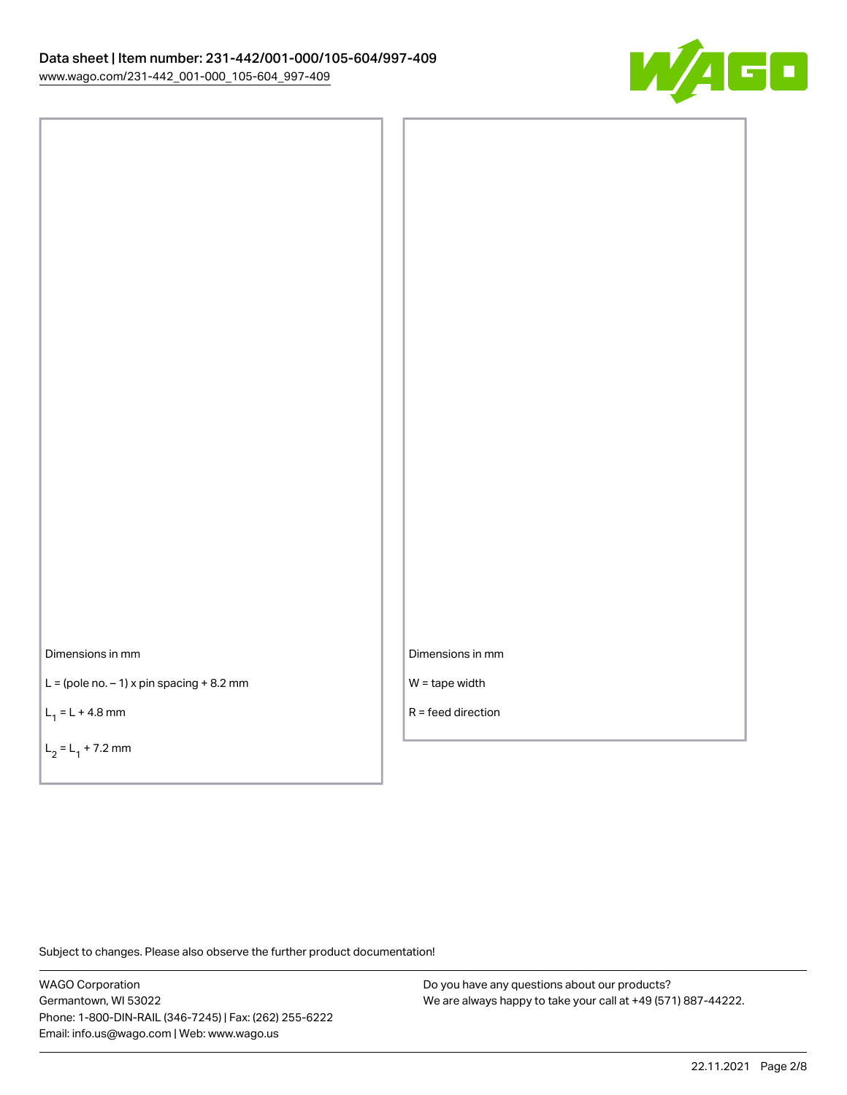

Dimensions in mm

 $L =$  (pole no.  $-1$ ) x pin spacing  $+8.2$  mm

 $L_1 = L + 4.8$  mm

 $L_2 = L_1 + 7.2$  mm

Dimensions in mm

W = tape width

R = feed direction

Subject to changes. Please also observe the further product documentation!

WAGO Corporation Germantown, WI 53022 Phone: 1-800-DIN-RAIL (346-7245) | Fax: (262) 255-6222 Email: info.us@wago.com | Web: www.wago.us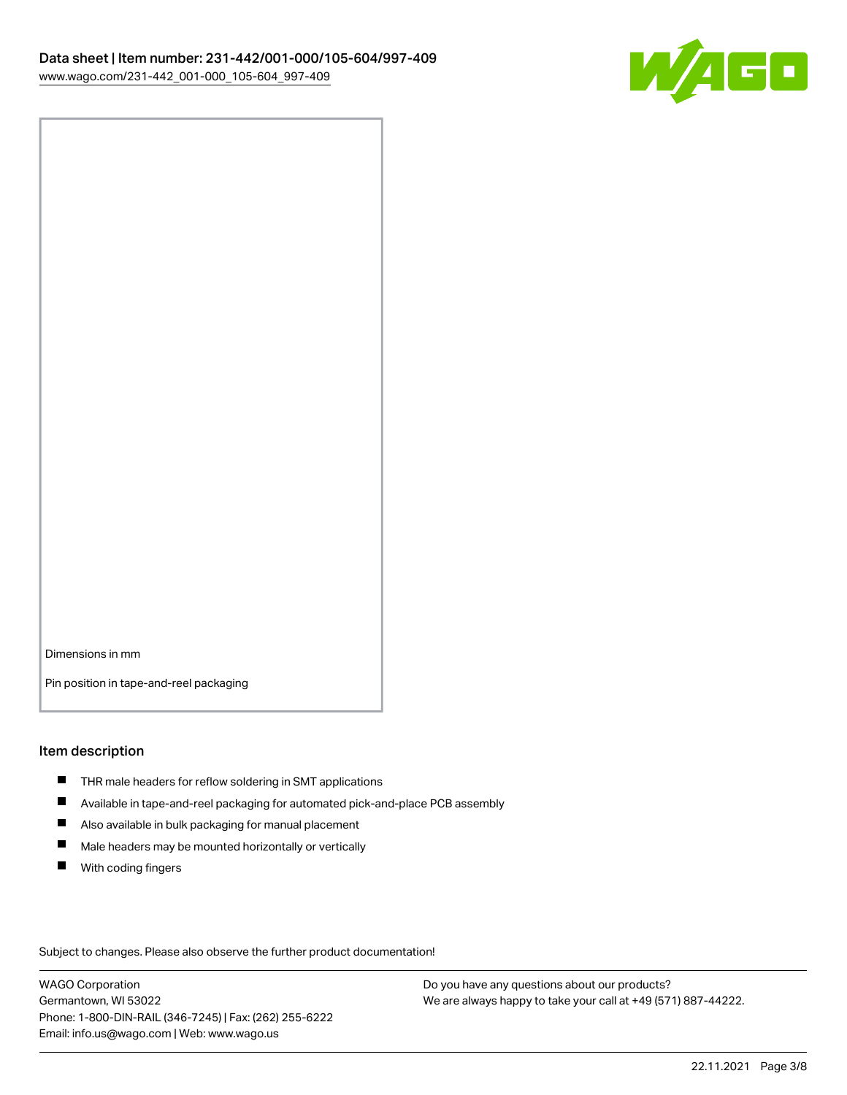

Dimensions in mm

Pin position in tape-and-reel packaging

#### Item description

- **THR** male headers for reflow soldering in SMT applications
- $\blacksquare$ Available in tape-and-reel packaging for automated pick-and-place PCB assembly
- $\blacksquare$ Also available in bulk packaging for manual placement
- $\blacksquare$ Male headers may be mounted horizontally or vertically
- **With coding fingers**

Subject to changes. Please also observe the further product documentation!

WAGO Corporation Germantown, WI 53022 Phone: 1-800-DIN-RAIL (346-7245) | Fax: (262) 255-6222 Email: info.us@wago.com | Web: www.wago.us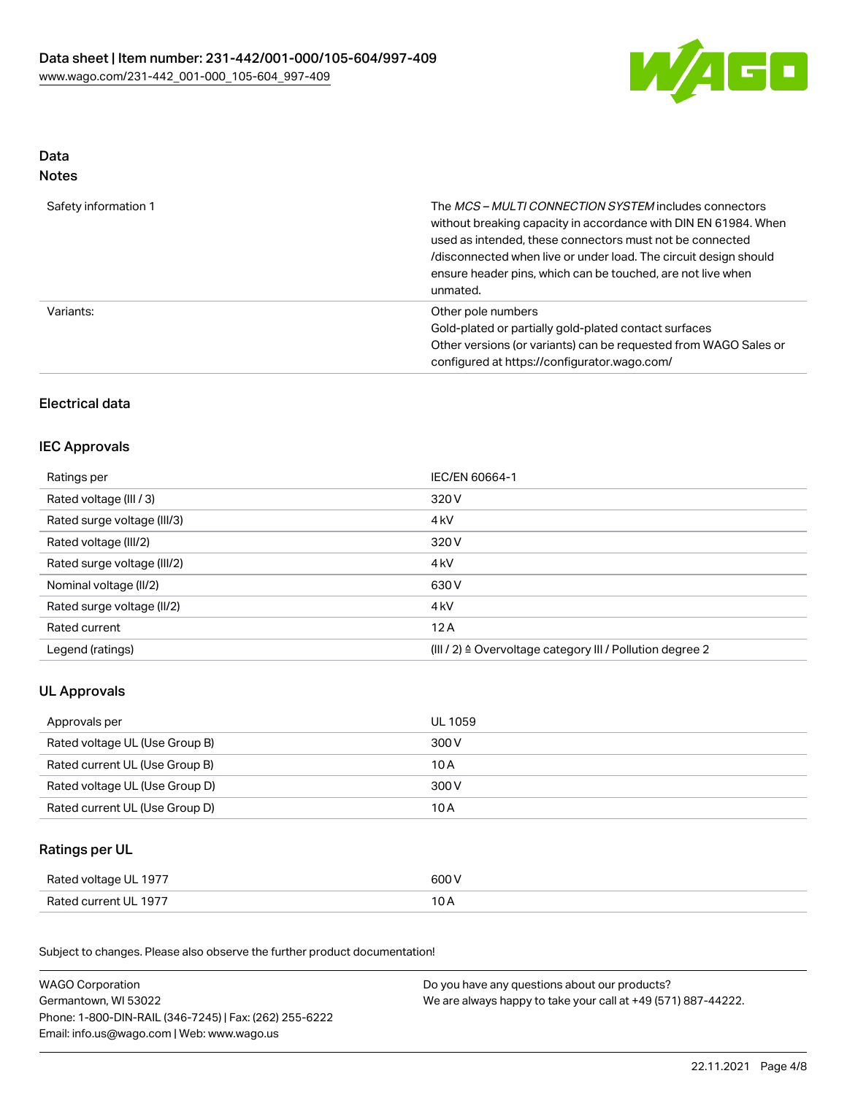

## Data Notes

| Safety information 1 | The MCS-MULTI CONNECTION SYSTEM includes connectors<br>without breaking capacity in accordance with DIN EN 61984. When<br>used as intended, these connectors must not be connected<br>/disconnected when live or under load. The circuit design should<br>ensure header pins, which can be touched, are not live when<br>unmated. |
|----------------------|-----------------------------------------------------------------------------------------------------------------------------------------------------------------------------------------------------------------------------------------------------------------------------------------------------------------------------------|
| Variants:            | Other pole numbers<br>Gold-plated or partially gold-plated contact surfaces<br>Other versions (or variants) can be requested from WAGO Sales or<br>configured at https://configurator.wago.com/                                                                                                                                   |

# Electrical data

## IEC Approvals

| Ratings per                 | IEC/EN 60664-1                                            |
|-----------------------------|-----------------------------------------------------------|
| Rated voltage (III / 3)     | 320 V                                                     |
| Rated surge voltage (III/3) | 4 <sub>kV</sub>                                           |
| Rated voltage (III/2)       | 320 V                                                     |
| Rated surge voltage (III/2) | 4 <sub>k</sub> V                                          |
| Nominal voltage (II/2)      | 630 V                                                     |
| Rated surge voltage (II/2)  | 4 <sub>k</sub> V                                          |
| Rated current               | 12A                                                       |
| Legend (ratings)            | (III / 2) ≙ Overvoltage category III / Pollution degree 2 |

# UL Approvals

| Approvals per                  | UL 1059 |
|--------------------------------|---------|
| Rated voltage UL (Use Group B) | 300 V   |
| Rated current UL (Use Group B) | 10 A    |
| Rated voltage UL (Use Group D) | 300 V   |
| Rated current UL (Use Group D) | 10 A    |

## Ratings per UL

| Rated voltage UL 1977 | 600 V |
|-----------------------|-------|
| Rated current UL 1977 | 10 A  |

Subject to changes. Please also observe the further product documentation!

| <b>WAGO Corporation</b>                                | Do you have any questions about our products?                 |
|--------------------------------------------------------|---------------------------------------------------------------|
| Germantown, WI 53022                                   | We are always happy to take your call at +49 (571) 887-44222. |
| Phone: 1-800-DIN-RAIL (346-7245)   Fax: (262) 255-6222 |                                                               |
| Email: info.us@wago.com   Web: www.wago.us             |                                                               |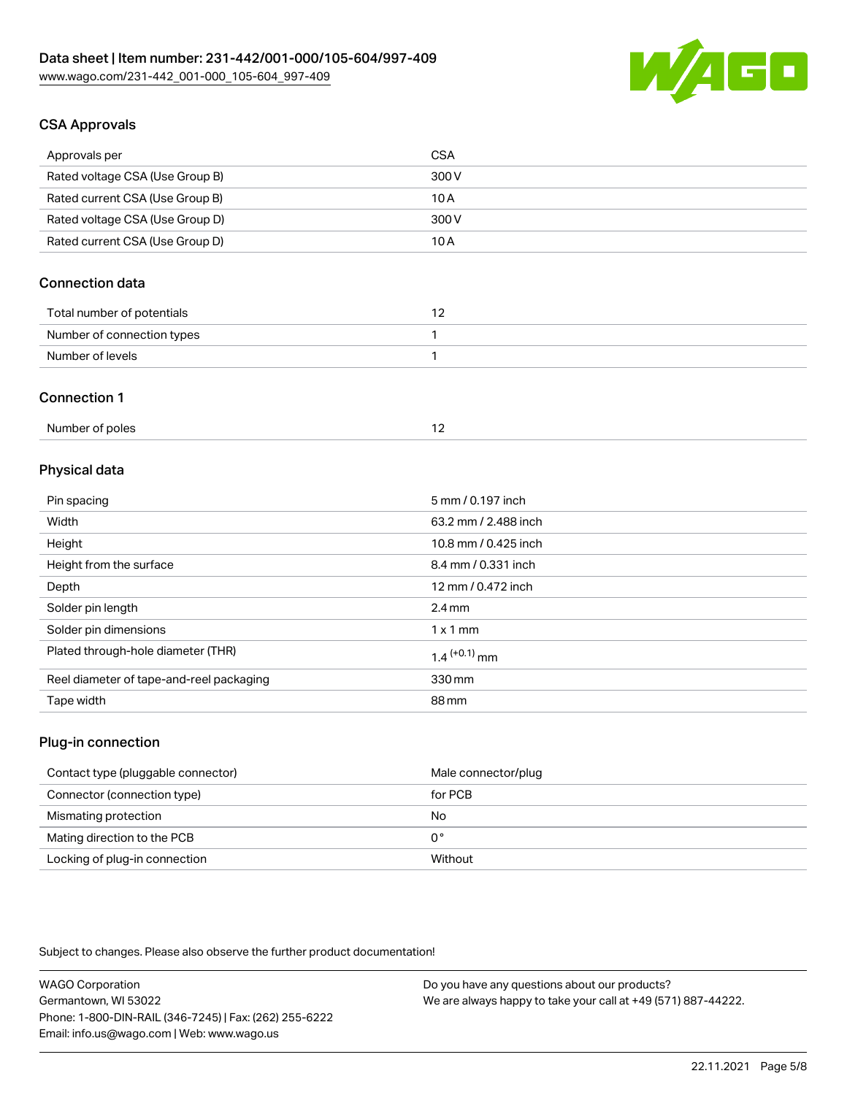

# CSA Approvals

| Approvals per                   | CSA   |
|---------------------------------|-------|
| Rated voltage CSA (Use Group B) | 300 V |
| Rated current CSA (Use Group B) | 10 A  |
| Rated voltage CSA (Use Group D) | 300 V |
| Rated current CSA (Use Group D) | 10 A  |

# Connection data

| Total number of potentials |  |
|----------------------------|--|
| Number of connection types |  |
| Number of levels           |  |

#### Connection 1

| Number of poles |  |
|-----------------|--|
|-----------------|--|

## Physical data

| Pin spacing                              | 5 mm / 0.197 inch    |
|------------------------------------------|----------------------|
| Width                                    | 63.2 mm / 2.488 inch |
| Height                                   | 10.8 mm / 0.425 inch |
| Height from the surface                  | 8.4 mm / 0.331 inch  |
| Depth                                    | 12 mm / 0.472 inch   |
| Solder pin length                        | $2.4 \text{ mm}$     |
| Solder pin dimensions                    | $1 \times 1$ mm      |
| Plated through-hole diameter (THR)       | $1.4$ $(+0.1)$ mm    |
| Reel diameter of tape-and-reel packaging | 330 mm               |
| Tape width                               | 88 mm                |
|                                          |                      |

## Plug-in connection

| Contact type (pluggable connector) | Male connector/plug |
|------------------------------------|---------------------|
| Connector (connection type)        | for PCB             |
| Mismating protection               | No                  |
| Mating direction to the PCB        | 0°                  |
| Locking of plug-in connection      | Without             |

Subject to changes. Please also observe the further product documentation!

| <b>WAGO Corporation</b>                                | Do you have any questions about our products?                 |
|--------------------------------------------------------|---------------------------------------------------------------|
| Germantown, WI 53022                                   | We are always happy to take your call at +49 (571) 887-44222. |
| Phone: 1-800-DIN-RAIL (346-7245)   Fax: (262) 255-6222 |                                                               |
| Email: info.us@wago.com   Web: www.wago.us             |                                                               |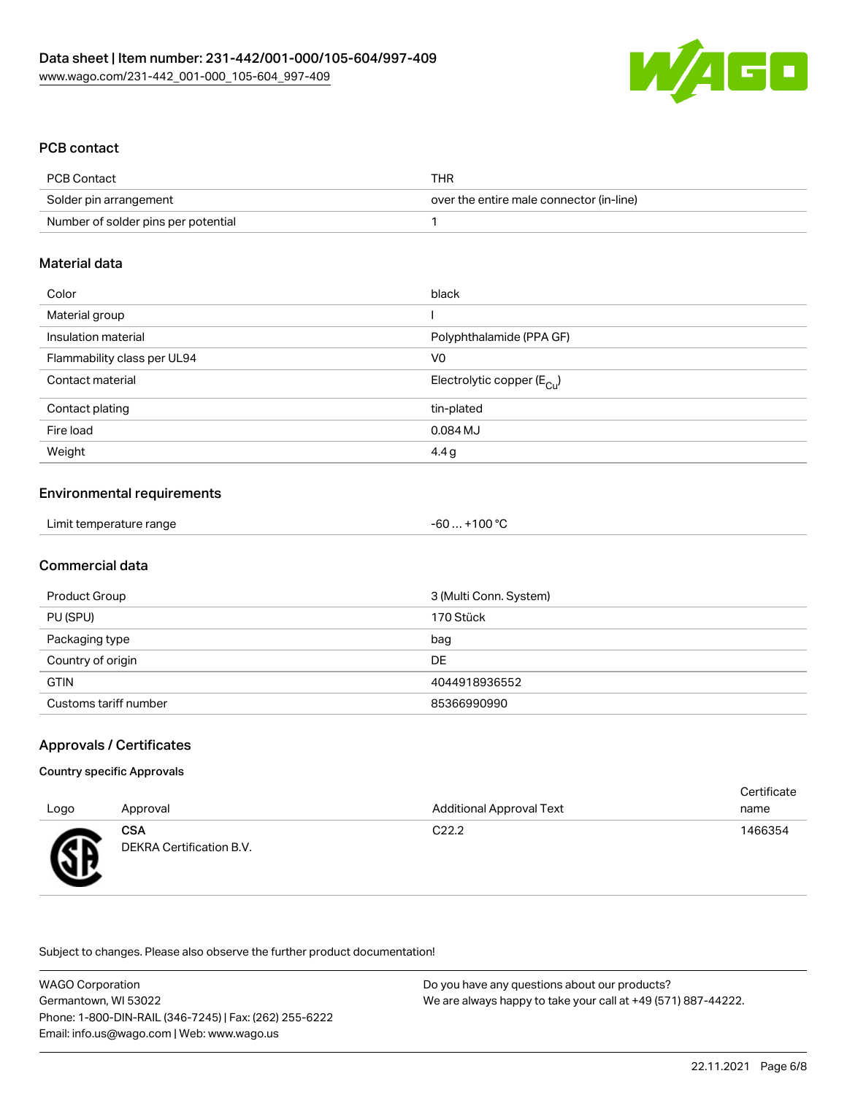

## PCB contact

| PCB Contact                         | THR                                      |
|-------------------------------------|------------------------------------------|
| Solder pin arrangement              | over the entire male connector (in-line) |
| Number of solder pins per potential |                                          |

#### Material data

| Color                       | black                                 |
|-----------------------------|---------------------------------------|
| Material group              |                                       |
| Insulation material         | Polyphthalamide (PPA GF)              |
| Flammability class per UL94 | V <sub>0</sub>                        |
| Contact material            | Electrolytic copper $(E_{\text{Cl}})$ |
| Contact plating             | tin-plated                            |
| Fire load                   | 0.084 MJ                              |
| Weight                      | 4.4g                                  |

## Environmental requirements

| Limit temperature range<br>$+100 °C$<br>-60 |  |
|---------------------------------------------|--|
|---------------------------------------------|--|

## Commercial data

| Product Group         | 3 (Multi Conn. System) |
|-----------------------|------------------------|
| PU (SPU)              | 170 Stück              |
| Packaging type        | bag                    |
| Country of origin     | DE                     |
| <b>GTIN</b>           | 4044918936552          |
| Customs tariff number | 85366990990            |

## Approvals / Certificates

#### Country specific Approvals

| Logo                       | Approval                               | <b>Additional Approval Text</b> | Certificate<br>name |
|----------------------------|----------------------------------------|---------------------------------|---------------------|
| Æ<br>$\tilde{\phantom{a}}$ | <b>CSA</b><br>DEKRA Certification B.V. | C <sub>22.2</sub>               | 1466354             |

Subject to changes. Please also observe the further product documentation!

| <b>WAGO Corporation</b>                                | Do you have any questions about our products?                 |
|--------------------------------------------------------|---------------------------------------------------------------|
| Germantown, WI 53022                                   | We are always happy to take your call at +49 (571) 887-44222. |
| Phone: 1-800-DIN-RAIL (346-7245)   Fax: (262) 255-6222 |                                                               |
| Email: info.us@wago.com   Web: www.wago.us             |                                                               |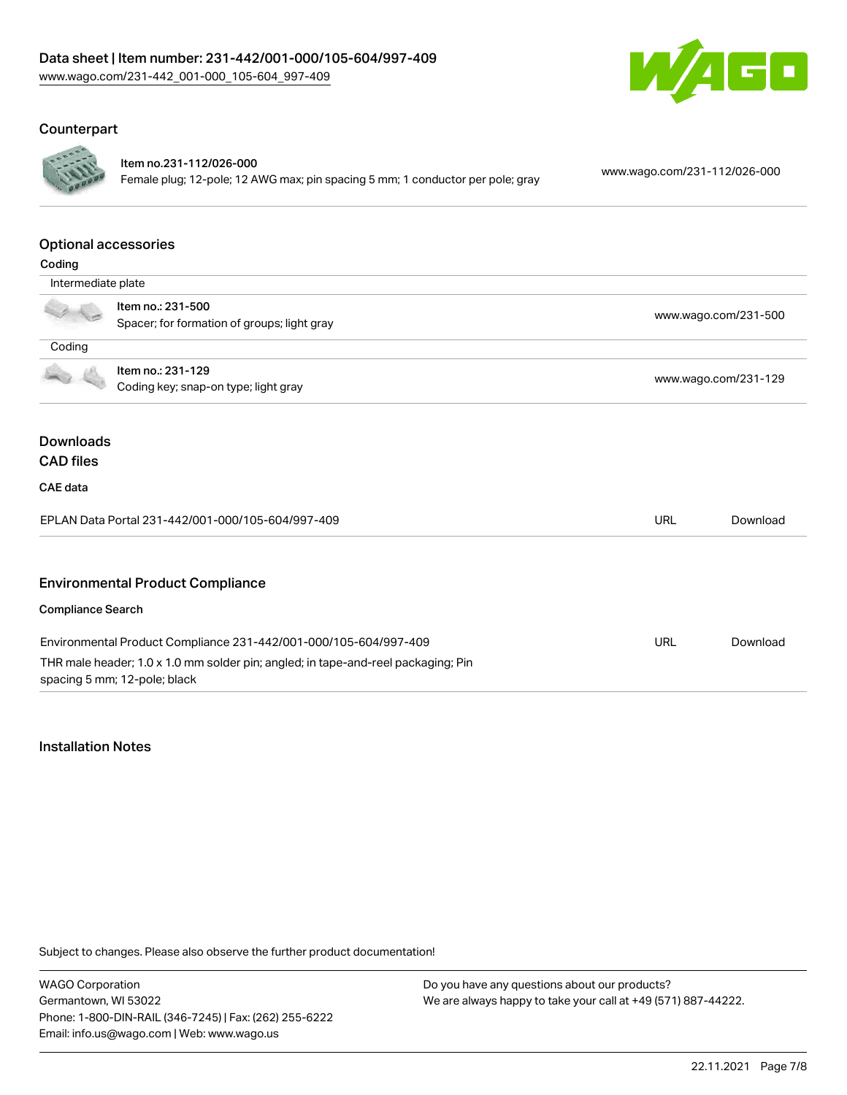

# **Counterpart**



Item no.231-112/026-000

Female plug; 12-pole; 12 AWG max; pin spacing 5 mm; 1 conductor per pole; gray [www.wago.com/231-112/026-000](https://www.wago.com/231-112/026-000)

#### Optional accessories

| Coding                                                           |                                                                                                                                                       |            |                      |  |
|------------------------------------------------------------------|-------------------------------------------------------------------------------------------------------------------------------------------------------|------------|----------------------|--|
| Intermediate plate                                               |                                                                                                                                                       |            |                      |  |
| Item no.: 231-500<br>Spacer; for formation of groups; light gray |                                                                                                                                                       |            | www.wago.com/231-500 |  |
| Coding                                                           |                                                                                                                                                       |            |                      |  |
| Item no.: 231-129<br>Coding key; snap-on type; light gray        |                                                                                                                                                       |            | www.wago.com/231-129 |  |
| <b>Downloads</b><br><b>CAD files</b>                             |                                                                                                                                                       |            |                      |  |
| CAE data                                                         |                                                                                                                                                       |            |                      |  |
|                                                                  | EPLAN Data Portal 231-442/001-000/105-604/997-409                                                                                                     | <b>URL</b> | Download             |  |
|                                                                  | <b>Environmental Product Compliance</b>                                                                                                               |            |                      |  |
| <b>Compliance Search</b>                                         |                                                                                                                                                       |            |                      |  |
|                                                                  | Environmental Product Compliance 231-442/001-000/105-604/997-409<br>THR male header; 1.0 x 1.0 mm solder pin; angled; in tape-and-reel packaging; Pin | <b>URL</b> | Download             |  |
|                                                                  | spacing 5 mm; 12-pole; black                                                                                                                          |            |                      |  |

#### Installation Notes

Subject to changes. Please also observe the further product documentation!

WAGO Corporation Germantown, WI 53022 Phone: 1-800-DIN-RAIL (346-7245) | Fax: (262) 255-6222 Email: info.us@wago.com | Web: www.wago.us